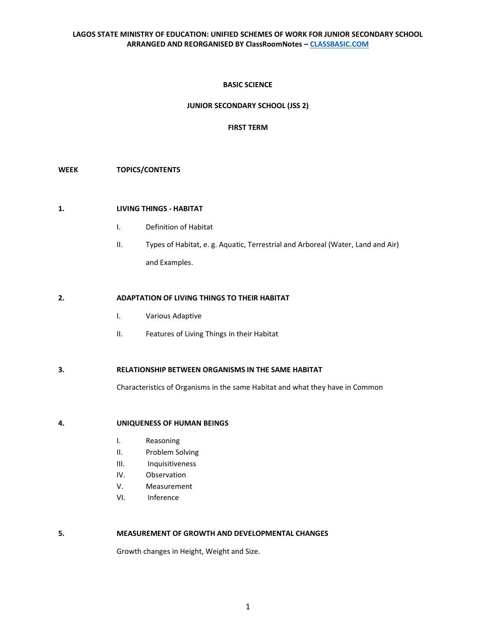### **BASIC SCIENCE**

### **JUNIOR SECONDARY SCHOOL (JSS 2)**

#### **FIRST TERM**

# **WEEK TOPICS/CONTENTS**

### **1. LIVING THINGS - HABITAT**

- I. Definition of Habitat
- II. Types of Habitat, e. g. Aquatic, Terrestrial and Arboreal (Water, Land and Air) and Examples.

#### **2. ADAPTATION OF LIVING THINGS TO THEIR HABITAT**

- I. Various Adaptive
- II. Features of Living Things in their Habitat

## **3. RELATIONSHIP BETWEEN ORGANISMS IN THE SAME HABITAT**

Characteristics of Organisms in the same Habitat and what they have in Common

### **4. UNIQUENESS OF HUMAN BEINGS**

- I. Reasoning
- II. Problem Solving
- III. Inquisitiveness
- IV. Observation
- V. Measurement
- VI. Inference

#### **5. MEASUREMENT OF GROWTH AND DEVELOPMENTAL CHANGES**

Growth changes in Height, Weight and Size.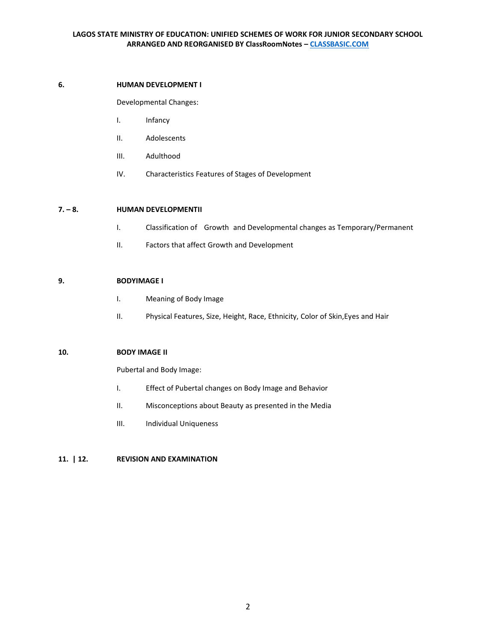# **6. HUMAN DEVELOPMENT I**

Developmental Changes:

- I. Infancy
- II. Adolescents
- III. Adulthood
- IV. Characteristics Features of Stages of Development

# **7. – 8. HUMAN DEVELOPMENTII**

- I. Classification of Growth and Developmental changes as Temporary/Permanent
- II. Factors that affect Growth and Development

# **9. BODYIMAGE I**

- I. Meaning of Body Image
- II. Physical Features, Size, Height, Race, Ethnicity, Color of Skin,Eyes and Hair

### **10. BODY IMAGE II**

Pubertal and Body Image:

- I. Effect of Pubertal changes on Body Image and Behavior
- II. Misconceptions about Beauty as presented in the Media
- III. Individual Uniqueness

### **11. | 12. REVISION AND EXAMINATION**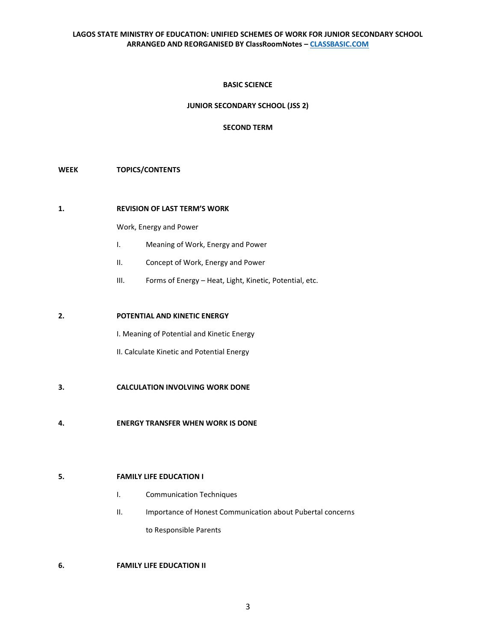# **BASIC SCIENCE**

### **JUNIOR SECONDARY SCHOOL (JSS 2)**

### **SECOND TERM**

# **WEEK TOPICS/CONTENTS**

#### **1. REVISION OF LAST TERM'S WORK**

Work, Energy and Power

- I. Meaning of Work, Energy and Power
- II. Concept of Work, Energy and Power
- III. Forms of Energy Heat, Light, Kinetic, Potential, etc.

## **2. POTENTIAL AND KINETIC ENERGY**

I. Meaning of Potential and Kinetic Energy

II. Calculate Kinetic and Potential Energy

- **3. CALCULATION INVOLVING WORK DONE**
- **4. ENERGY TRANSFER WHEN WORK IS DONE**

# **5. FAMILY LIFE EDUCATION I**

- I. Communication Techniques
- II. Importance of Honest Communication about Pubertal concerns to Responsible Parents

# **6. FAMILY LIFE EDUCATION II**

3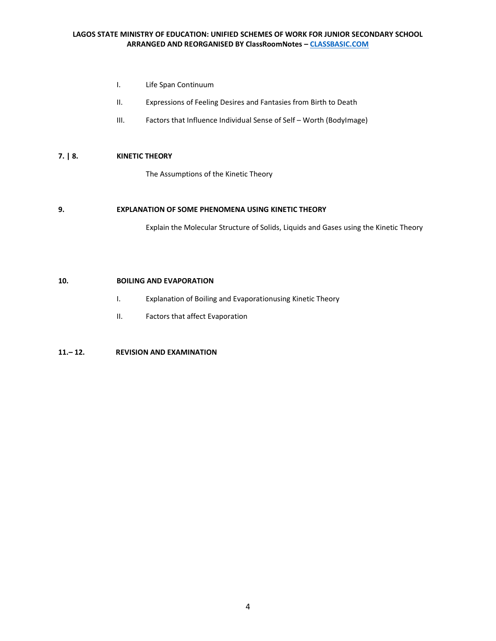- I. Life Span Continuum
- II. Expressions of Feeling Desires and Fantasies from Birth to Death
- III. Factors that Influence Individual Sense of Self Worth (BodyImage)

# **7. | 8. KINETIC THEORY**

The Assumptions of the Kinetic Theory

## **9. EXPLANATION OF SOME PHENOMENA USING KINETIC THEORY**

Explain the Molecular Structure of Solids, Liquids and Gases using the Kinetic Theory

# **10. BOILING AND EVAPORATION**

- I. Explanation of Boiling and Evaporationusing Kinetic Theory
- II. Factors that affect Evaporation

# **11.– 12. REVISION AND EXAMINATION**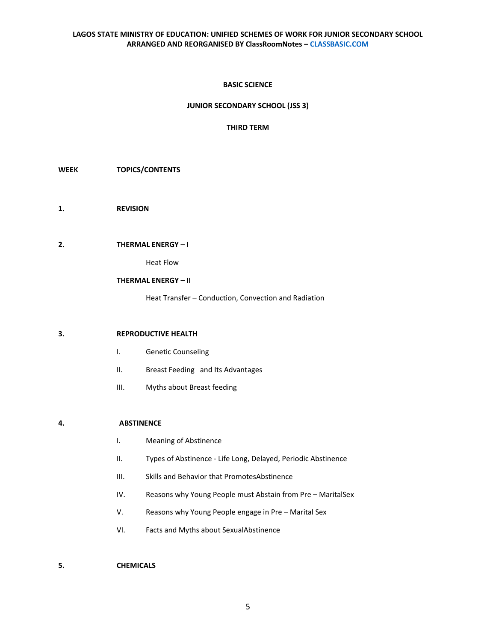### **BASIC SCIENCE**

### **JUNIOR SECONDARY SCHOOL (JSS 3)**

### **THIRD TERM**

- **WEEK TOPICS/CONTENTS**
- **1. REVISION**

### **2. THERMAL ENERGY – I**

Heat Flow

## **THERMAL ENERGY – II**

Heat Transfer – Conduction, Convection and Radiation

### **3. REPRODUCTIVE HEALTH**

- I. Genetic Counseling
- II. Breast Feeding and Its Advantages
- III. Myths about Breast feeding

### **4. ABSTINENCE**

- I. Meaning of Abstinence
- II. Types of Abstinence Life Long, Delayed, Periodic Abstinence
- III. Skills and Behavior that PromotesAbstinence
- IV. Reasons why Young People must Abstain from Pre MaritalSex
- V. Reasons why Young People engage in Pre Marital Sex
- VI. Facts and Myths about SexualAbstinence

## **5. CHEMICALS**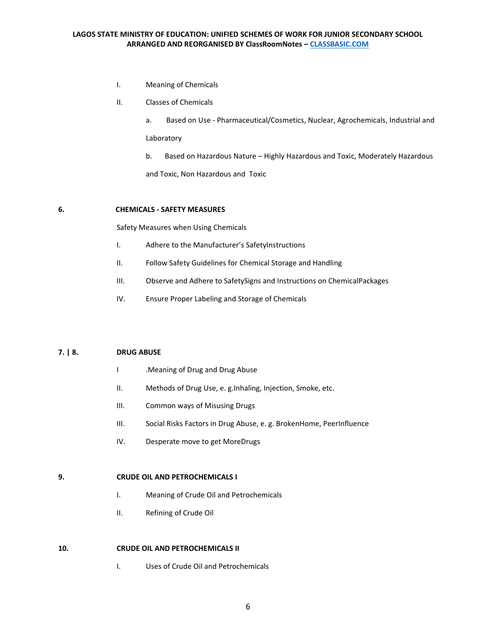- I. Meaning of Chemicals
- II. Classes of Chemicals
	- a. Based on Use Pharmaceutical/Cosmetics, Nuclear, Agrochemicals, Industrial and Laboratory
	- b. Based on Hazardous Nature Highly Hazardous and Toxic, Moderately Hazardous

and Toxic, Non Hazardous and Toxic

## **6. CHEMICALS - SAFETY MEASURES**

Safety Measures when Using Chemicals

- I. Adhere to the Manufacturer's SafetyInstructions
- II. Follow Safety Guidelines for Chemical Storage and Handling
- III. Observe and Adhere to SafetySigns and Instructions on ChemicalPackages
- IV. Ensure Proper Labeling and Storage of Chemicals

## **7. | 8. DRUG ABUSE**

- I .Meaning of Drug and Drug Abuse
- II. Methods of Drug Use, e. g.Inhaling, Injection, Smoke, etc.
- III. Common ways of Misusing Drugs
- III. Social Risks Factors in Drug Abuse, e. g. BrokenHome, PeerInfluence
- IV. Desperate move to get MoreDrugs

## **9. CRUDE OIL AND PETROCHEMICALS I**

- I. Meaning of Crude Oil and Petrochemicals
- II. Refining of Crude Oil

# **10. CRUDE OIL AND PETROCHEMICALS II**

I. Uses of Crude Oil and Petrochemicals